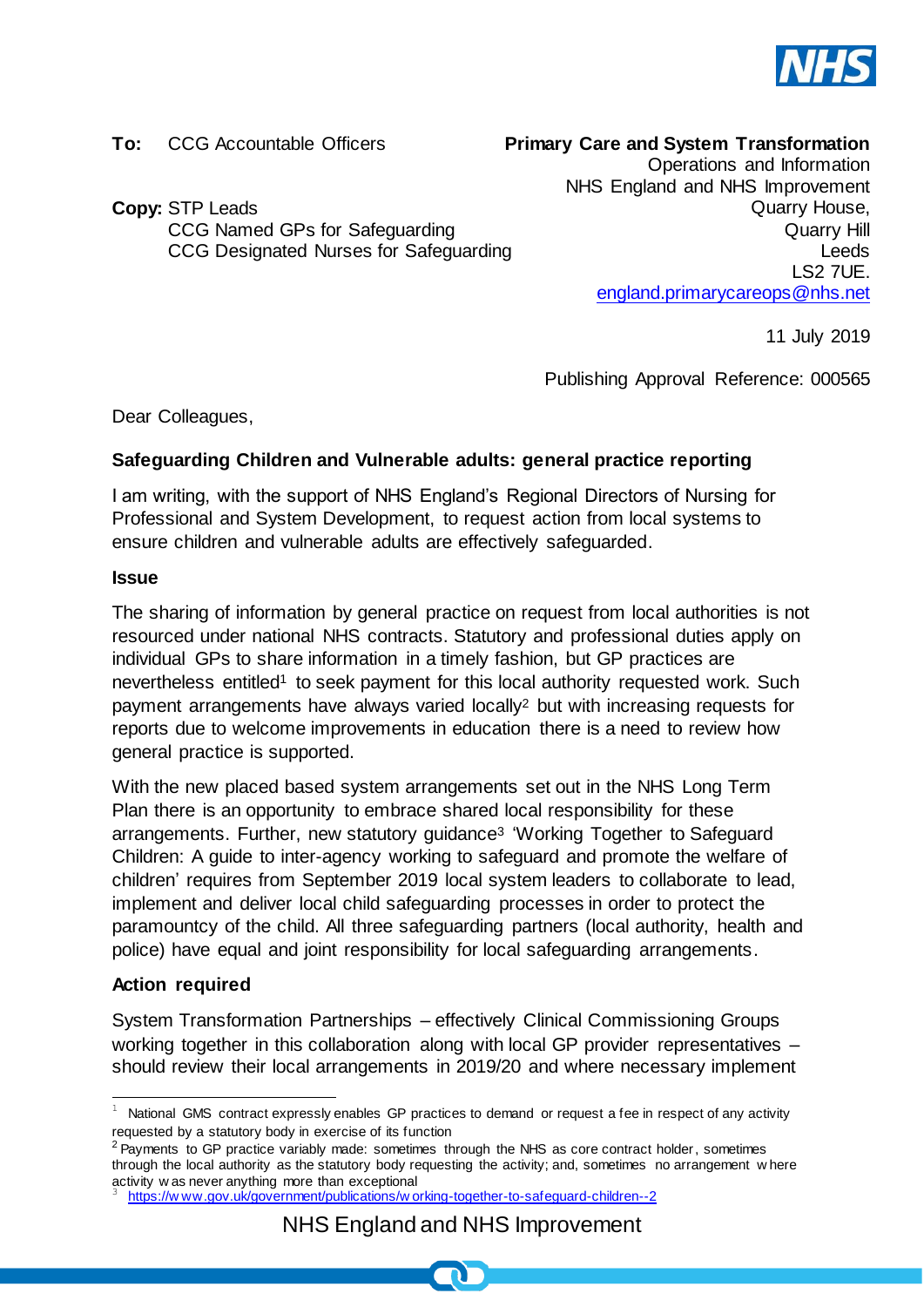

**To:** CCG Accountable Officers

**Primary Care and System Transformation** 

**Copy:** STP Leads CCG Named GPs for Safeguarding CCG Designated Nurses for Safeguarding

Operations and Information NHS England and NHS Improvement Quarry House, Quarry Hill Leeds LS2 7UE. [england.primarycareops@nhs.net](mailto:england.primarycareops@nhs.net)

11 July 2019

Publishing Approval Reference: 000565

Dear Colleagues,

## **Safeguarding Children and Vulnerable adults: general practice reporting**

I am writing, with the support of NHS England's Regional Directors of Nursing for Professional and System Development, to request action from local systems to ensure children and vulnerable adults are effectively safeguarded.

## **Issue**

The sharing of information by general practice on request from local authorities is not resourced under national NHS contracts. Statutory and professional duties apply on individual GPs to share information in a timely fashion, but GP practices are nevertheless entitled<sup>1</sup> to seek payment for this local authority requested work. Such payment arrangements have always varied locally<sup>2</sup> but with increasing requests for reports due to welcome improvements in education there is a need to review how general practice is supported.

With the new placed based system arrangements set out in the NHS Long Term Plan there is an opportunity to embrace shared local responsibility for these arrangements. Further, new statutory guidance<sup>3</sup> 'Working Together to Safeguard Children: A guide to inter-agency working to safeguard and promote the welfare of children' requires from September 2019 local system leaders to collaborate to lead, implement and deliver local child safeguarding processes in order to protect the paramountcy of the child. All three safeguarding partners (local authority, health and police) have equal and joint responsibility for local safeguarding arrangements.

## **Action required**

System Transformation Partnerships – effectively Clinical Commissioning Groups working together in this collaboration along with local GP provider representatives – should review their local arrangements in 2019/20 and where necessary implement

j National GMS contract expressly enables GP practices to demand or request a fee in respect of any activity requested by a statutory body in exercise of its function

<sup>&</sup>lt;sup>2</sup> Payments to GP practice variably made: sometimes through the NHS as core contract holder, sometimes through the local authority as the statutory body requesting the activity; and, sometimes no arrangement w here activity w as never anything more than exceptional

<sup>3</sup> [https://w ww.gov.uk/government/publications/w orking-together-to-safeguard-children--2](https://www.gov.uk/government/publications/working-together-to-safeguard-children--2)